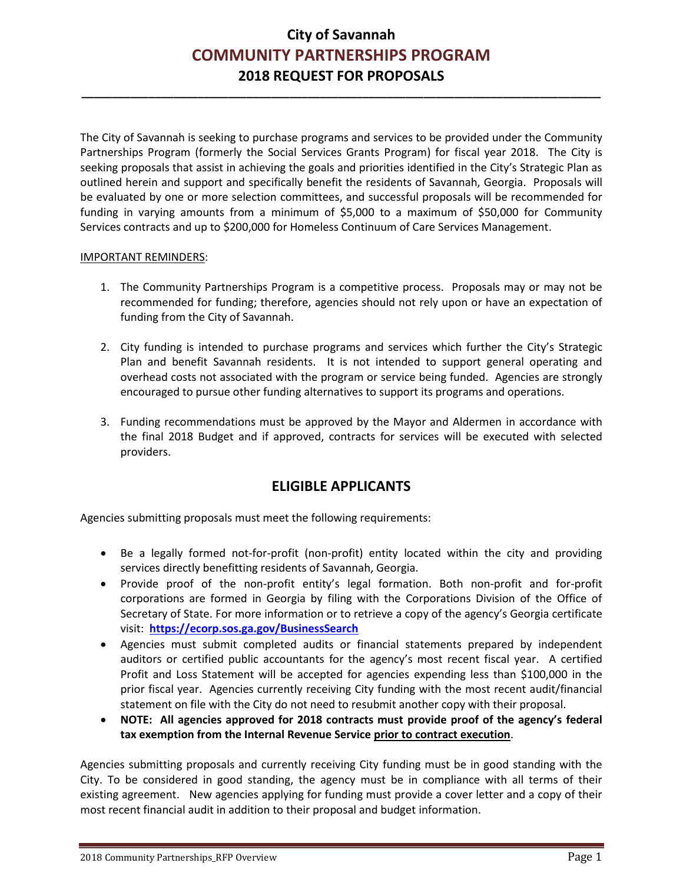**\_\_\_\_\_\_\_\_\_\_\_\_\_\_\_\_\_\_\_\_\_\_\_\_\_\_\_\_\_\_\_\_\_\_\_\_\_\_\_\_\_\_\_\_\_\_\_\_\_\_\_\_\_\_\_\_\_\_\_\_\_\_\_\_\_\_\_\_\_\_\_\_\_\_\_\_\_\_\_\_\_\_\_\_\_** 

The City of Savannah is seeking to purchase programs and services to be provided under the Community Partnerships Program (formerly the Social Services Grants Program) for fiscal year 2018. The City is seeking proposals that assist in achieving the goals and priorities identified in the City's Strategic Plan as outlined herein and support and specifically benefit the residents of Savannah, Georgia. Proposals will be evaluated by one or more selection committees, and successful proposals will be recommended for funding in varying amounts from a minimum of \$5,000 to a maximum of \$50,000 for Community Services contracts and up to \$200,000 for Homeless Continuum of Care Services Management.

### IMPORTANT REMINDERS:

- 1. The Community Partnerships Program is a competitive process. Proposals may or may not be recommended for funding; therefore, agencies should not rely upon or have an expectation of funding from the City of Savannah.
- 2. City funding is intended to purchase programs and services which further the City's Strategic Plan and benefit Savannah residents. It is not intended to support general operating and overhead costs not associated with the program or service being funded. Agencies are strongly encouraged to pursue other funding alternatives to support its programs and operations.
- 3. Funding recommendations must be approved by the Mayor and Aldermen in accordance with the final 2018 Budget and if approved, contracts for services will be executed with selected providers.

## **ELIGIBLE APPLICANTS**

Agencies submitting proposals must meet the following requirements:

- Be a legally formed not-for-profit (non-profit) entity located within the city and providing services directly benefitting residents of Savannah, Georgia.
- Provide proof of the non-profit entity's legal formation. Both non-profit and for-profit corporations are formed in Georgia by filing with the Corporations Division of the Office of Secretary of State. For more information or to retrieve a copy of the agency's Georgia certificate visit: **<https://ecorp.sos.ga.gov/BusinessSearch>**
- Agencies must submit completed audits or financial statements prepared by independent auditors or certified public accountants for the agency's most recent fiscal year. A certified Profit and Loss Statement will be accepted for agencies expending less than \$100,000 in the prior fiscal year. Agencies currently receiving City funding with the most recent audit/financial statement on file with the City do not need to resubmit another copy with their proposal.
- **NOTE: All agencies approved for 2018 contracts must provide proof of the agency's federal tax exemption from the Internal Revenue Service prior to contract execution**.

Agencies submitting proposals and currently receiving City funding must be in good standing with the City. To be considered in good standing, the agency must be in compliance with all terms of their existing agreement. New agencies applying for funding must provide a cover letter and a copy of their most recent financial audit in addition to their proposal and budget information.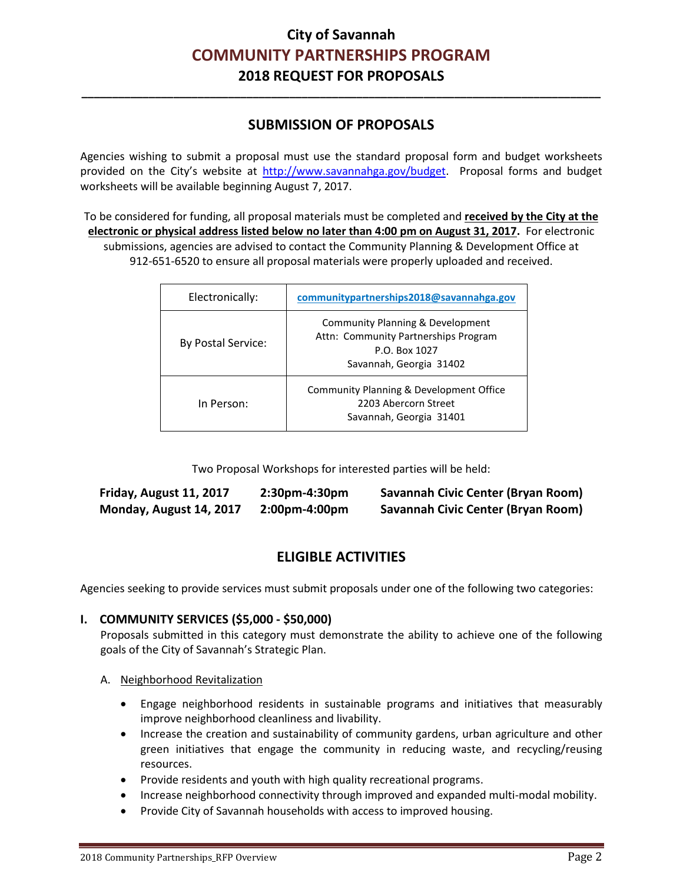## **SUBMISSION OF PROPOSALS**

**\_\_\_\_\_\_\_\_\_\_\_\_\_\_\_\_\_\_\_\_\_\_\_\_\_\_\_\_\_\_\_\_\_\_\_\_\_\_\_\_\_\_\_\_\_\_\_\_\_\_\_\_\_\_\_\_\_\_\_\_\_\_\_\_\_\_\_\_\_\_\_\_\_\_\_\_\_\_\_\_\_\_\_\_\_** 

Agencies wishing to submit a proposal must use the standard proposal form and budget worksheets provided on the City's website at [http://www.savannahga.gov/budget.](http://www.savannahga.gov/budget) Proposal forms and budget worksheets will be available beginning August 7, 2017.

To be considered for funding, all proposal materials must be completed and **received by the City at the electronic or physical address listed below no later than 4:00 pm on August 31, 2017.** For electronic submissions, agencies are advised to contact the Community Planning & Development Office at 912-651-6520 to ensure all proposal materials were properly uploaded and received.

| Electronically:    | communitypartnerships2018@savannahga.gov                                                                             |
|--------------------|----------------------------------------------------------------------------------------------------------------------|
| By Postal Service: | Community Planning & Development<br>Attn: Community Partnerships Program<br>P.O. Box 1027<br>Savannah, Georgia 31402 |
| In Person:         | Community Planning & Development Office<br>2203 Abercorn Street<br>Savannah, Georgia 31401                           |

Two Proposal Workshops for interested parties will be held:

| Friday, August 11, 2017 | $2:30$ pm-4:30pm | Savannah Civic Center (Bryan Room)        |
|-------------------------|------------------|-------------------------------------------|
| Monday, August 14, 2017 | $2:00$ pm-4:00pm | <b>Savannah Civic Center (Bryan Room)</b> |

## **ELIGIBLE ACTIVITIES**

Agencies seeking to provide services must submit proposals under one of the following two categories:

### **I. COMMUNITY SERVICES (\$5,000 - \$50,000)**

Proposals submitted in this category must demonstrate the ability to achieve one of the following goals of the City of Savannah's Strategic Plan.

### A. Neighborhood Revitalization

- Engage neighborhood residents in sustainable programs and initiatives that measurably improve neighborhood cleanliness and livability.
- Increase the creation and sustainability of community gardens, urban agriculture and other green initiatives that engage the community in reducing waste, and recycling/reusing resources.
- Provide residents and youth with high quality recreational programs.
- Increase neighborhood connectivity through improved and expanded multi-modal mobility.
- Provide City of Savannah households with access to improved housing.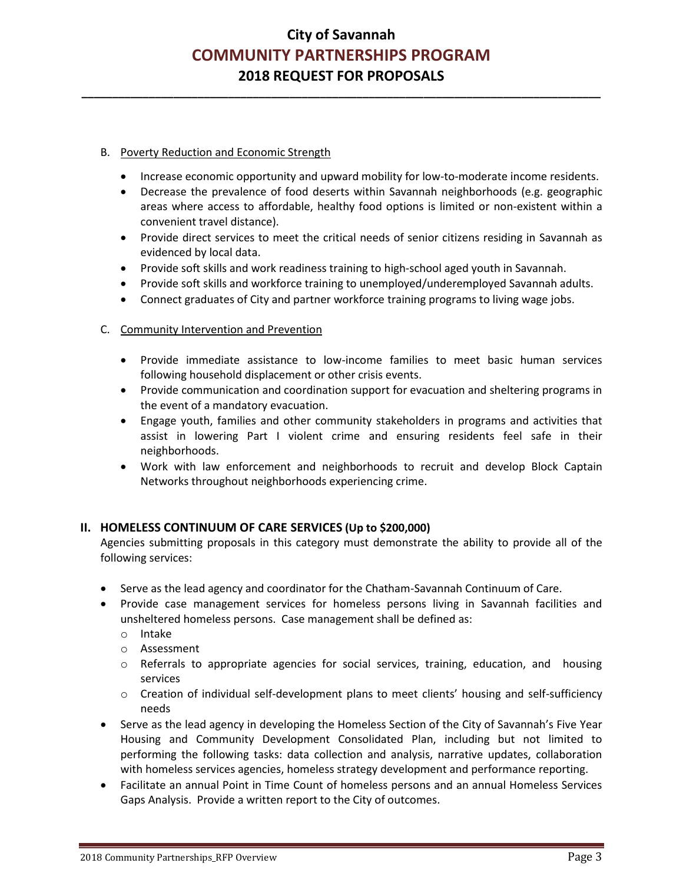**\_\_\_\_\_\_\_\_\_\_\_\_\_\_\_\_\_\_\_\_\_\_\_\_\_\_\_\_\_\_\_\_\_\_\_\_\_\_\_\_\_\_\_\_\_\_\_\_\_\_\_\_\_\_\_\_\_\_\_\_\_\_\_\_\_\_\_\_\_\_\_\_\_\_\_\_\_\_\_\_\_\_\_\_\_** 

### B. Poverty Reduction and Economic Strength

- Increase economic opportunity and upward mobility for low-to-moderate income residents.
- Decrease the prevalence of food deserts within Savannah neighborhoods (e.g. geographic areas where access to affordable, healthy food options is limited or non-existent within a convenient travel distance).
- Provide direct services to meet the critical needs of senior citizens residing in Savannah as evidenced by local data.
- Provide soft skills and work readiness training to high-school aged youth in Savannah.
- Provide soft skills and workforce training to unemployed/underemployed Savannah adults.
- Connect graduates of City and partner workforce training programs to living wage jobs.

### C. Community Intervention and Prevention

- Provide immediate assistance to low-income families to meet basic human services following household displacement or other crisis events.
- Provide communication and coordination support for evacuation and sheltering programs in the event of a mandatory evacuation.
- Engage youth, families and other community stakeholders in programs and activities that assist in lowering Part I violent crime and ensuring residents feel safe in their neighborhoods.
- Work with law enforcement and neighborhoods to recruit and develop Block Captain Networks throughout neighborhoods experiencing crime.

### **II. HOMELESS CONTINUUM OF CARE SERVICES (Up to \$200,000)**

Agencies submitting proposals in this category must demonstrate the ability to provide all of the following services:

- Serve as the lead agency and coordinator for the Chatham-Savannah Continuum of Care.
- Provide case management services for homeless persons living in Savannah facilities and unsheltered homeless persons. Case management shall be defined as:
	- o Intake
	- o Assessment
	- o Referrals to appropriate agencies for social services, training, education, and housing services
	- o Creation of individual self-development plans to meet clients' housing and self-sufficiency needs
- Serve as the lead agency in developing the Homeless Section of the City of Savannah's Five Year Housing and Community Development Consolidated Plan, including but not limited to performing the following tasks: data collection and analysis, narrative updates, collaboration with homeless services agencies, homeless strategy development and performance reporting.
- Facilitate an annual Point in Time Count of homeless persons and an annual Homeless Services Gaps Analysis. Provide a written report to the City of outcomes.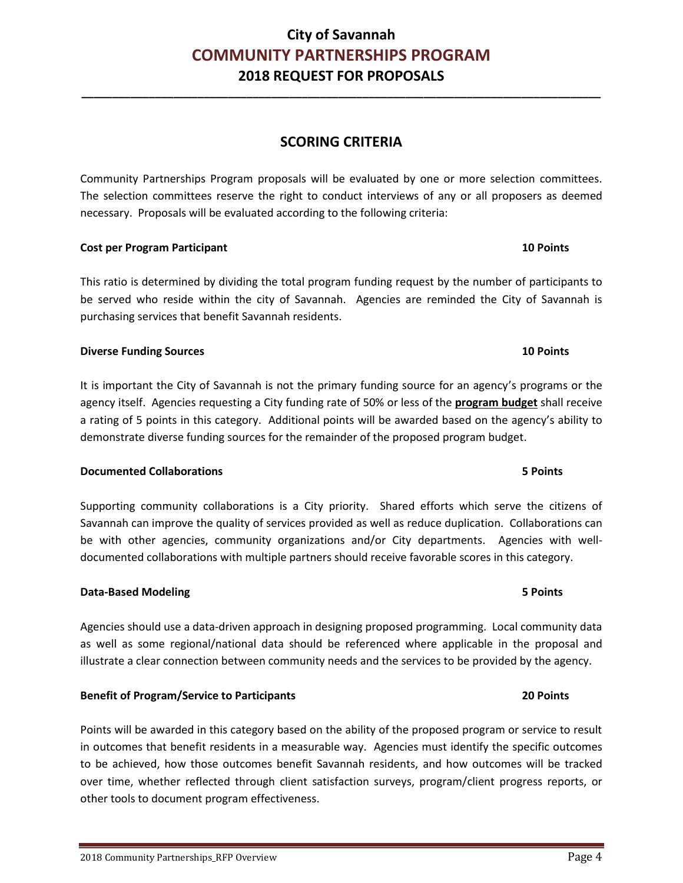## 2018 Community Partnerships\_RFP Overview **Page 4** and the state of the state of the state of the state of the state of the state of the state of the state of the state of the state of the state of the state of the state of

## **City of Savannah COMMUNITY PARTNERSHIPS PROGRAM 2018 REQUEST FOR PROPOSALS**

**\_\_\_\_\_\_\_\_\_\_\_\_\_\_\_\_\_\_\_\_\_\_\_\_\_\_\_\_\_\_\_\_\_\_\_\_\_\_\_\_\_\_\_\_\_\_\_\_\_\_\_\_\_\_\_\_\_\_\_\_\_\_\_\_\_\_\_\_\_\_\_\_\_\_\_\_\_\_\_\_\_\_\_\_\_** 

## **SCORING CRITERIA**

Community Partnerships Program proposals will be evaluated by one or more selection committees. The selection committees reserve the right to conduct interviews of any or all proposers as deemed necessary. Proposals will be evaluated according to the following criteria:

#### **Cost per Program Participant 10 Points**

This ratio is determined by dividing the total program funding request by the number of participants to be served who reside within the city of Savannah. Agencies are reminded the City of Savannah is purchasing services that benefit Savannah residents.

### **Diverse Funding Sources 10 Points**

It is important the City of Savannah is not the primary funding source for an agency's programs or the agency itself. Agencies requesting a City funding rate of 50% or less of the **program budget** shall receive a rating of 5 points in this category. Additional points will be awarded based on the agency's ability to demonstrate diverse funding sources for the remainder of the proposed program budget.

### **Documented Collaborations 5 Points**

Supporting community collaborations is a City priority. Shared efforts which serve the citizens of Savannah can improve the quality of services provided as well as reduce duplication. Collaborations can be with other agencies, community organizations and/or City departments. Agencies with welldocumented collaborations with multiple partners should receive favorable scores in this category.

### **Data-Based Modeling 5 Points**

Agencies should use a data-driven approach in designing proposed programming. Local community data as well as some regional/national data should be referenced where applicable in the proposal and illustrate a clear connection between community needs and the services to be provided by the agency.

### **Benefit of Program/Service to Participants 20 Points**

Points will be awarded in this category based on the ability of the proposed program or service to result in outcomes that benefit residents in a measurable way. Agencies must identify the specific outcomes to be achieved, how those outcomes benefit Savannah residents, and how outcomes will be tracked over time, whether reflected through client satisfaction surveys, program/client progress reports, or other tools to document program effectiveness.